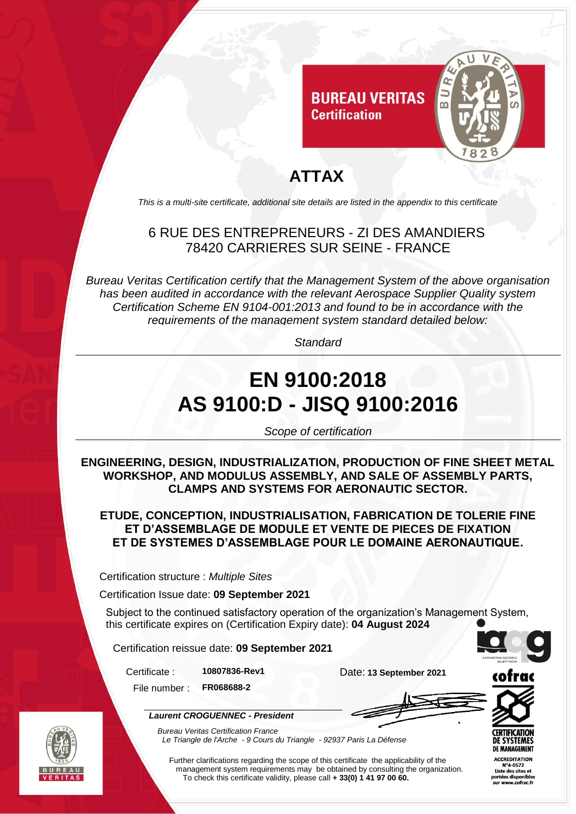

# **ATTAX**

*This is a multi-site certificate, additional site details are listed in the appendix to this certificate*

#### 6 RUE DES ENTREPRENEURS - ZI DES AMANDIERS 78420 CARRIERES SUR SEINE - FRANCE

*Bureau Veritas Certification certify that the Management System of the above organisation has been audited in accordance with the relevant Aerospace Supplier Quality system Certification Scheme EN 9104-001:2013 and found to be in accordance with the requirements of the management system standard detailed below:*

*Standard*

# **EN 9100:2018 AS 9100:D - JISQ 9100:2016**

*Scope of certification*

**ENGINEERING, DESIGN, INDUSTRIALIZATION, PRODUCTION OF FINE SHEET METAL WORKSHOP, AND MODULUS ASSEMBLY, AND SALE OF ASSEMBLY PARTS, CLAMPS AND SYSTEMS FOR AERONAUTIC SECTOR.**

**ETUDE, CONCEPTION, INDUSTRIALISATION, FABRICATION DE TOLERIE FINE ET D'ASSEMBLAGE DE MODULE ET VENTE DE PIECES DE FIXATION ET DE SYSTEMES D'ASSEMBLAGE POUR LE DOMAINE AERONAUTIQUE.**

Certification structure : *Multiple Sites*

Certification Issue date: **09 September 2021**

Subject to the continued satisfactory operation of the organization's Management System, this certificate expires on (Certification Expiry date): **04 August 2024**

Certification reissue date: **09 September 2021**

*Laurent CROGUENNEC - President*

Certificate : **10807836-Rev1** Date: **13 September 2021**

File number : **FR068688-2**



*Bureau Veritas Certification France Le Triangle de l'Arche - 9 Cours du Triangle - 92937 Paris La Défense* 

Further clarifications regarding the scope of this certificate the applicability of the management system requirements may be obtained by consulting the organization. To check this certificate validity, please call **+ 33(0) 1 41 97 00 60.**





CCREDITATION tées di: